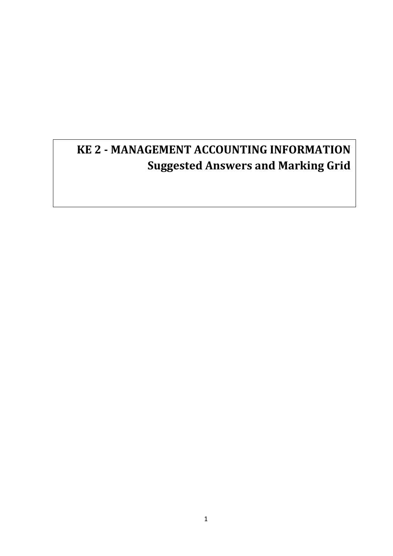# **KE 2 - MANAGEMENT ACCOUNTING INFORMATION Suggested Answers and Marking Grid**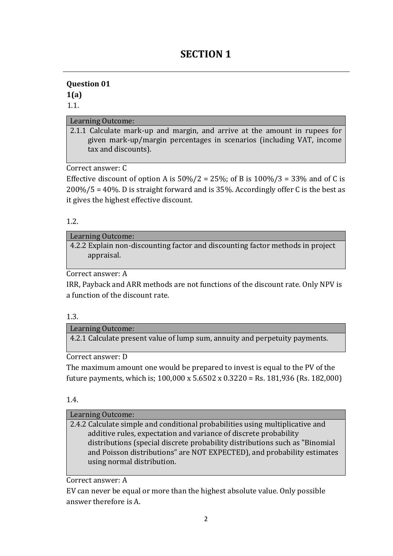## **SECTION 1**

### **Question 01 1(a)**

1.1.

### Learning Outcome:

2.1.1 Calculate mark-up and margin, and arrive at the amount in rupees for given mark-up/margin percentages in scenarios (including VAT, income tax and discounts).

Correct answer: C

Effective discount of option A is  $50\%/2 = 25\%$ ; of B is  $100\%/3 = 33\%$  and of C is 200%/5 = 40%. D is straight forward and is 35%. Accordingly offer C is the best as it gives the highest effective discount.

### 1.2.

### Learning Outcome:

4.2.2 Explain non-discounting factor and discounting factor methods in project appraisal.

Correct answer: A

IRR, Payback and ARR methods are not functions of the discount rate. Only NPV is a function of the discount rate.

#### 1.3.

Learning Outcome:

4.2.1 Calculate present value of lump sum, annuity and perpetuity payments.

Correct answer: D

The maximum amount one would be prepared to invest is equal to the PV of the future payments, which is; 100,000 x 5.6502 x 0.3220 = Rs. 181,936 (Rs. 182,000)

#### 1.4.

#### Learning Outcome:

2.4.2 Calculate simple and conditional probabilities using multiplicative and additive rules, expectation and variance of discrete probability distributions (special discrete probability distributions such as "Binomial and Poisson distributions" are NOT EXPECTED), and probability estimates using normal distribution.

Correct answer: A

EV can never be equal or more than the highest absolute value. Only possible answer therefore is A.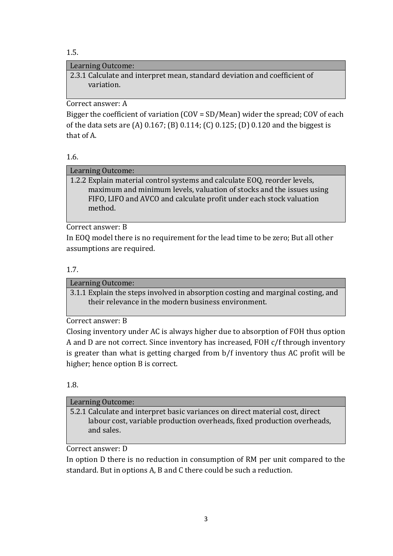1.5.

### Learning Outcome:

2.3.1 Calculate and interpret mean, standard deviation and coefficient of variation.

Correct answer: A

Bigger the coefficient of variation (COV = SD/Mean) wider the spread; COV of each of the data sets are (A) 0.167; (B) 0.114; (C) 0.125; (D) 0.120 and the biggest is that of A.

### 1.6.

### Learning Outcome:

1.2.2 Explain material control systems and calculate EOQ, reorder levels, maximum and minimum levels, valuation of stocks and the issues using FIFO, LIFO and AVCO and calculate profit under each stock valuation method.

Correct answer: B

In EOQ model there is no requirement for the lead time to be zero; But all other assumptions are required.

### 1.7.

Learning Outcome: 3.1.1 Explain the steps involved in absorption costing and marginal costing, and their relevance in the modern business environment.

Correct answer: B

Closing inventory under AC is always higher due to absorption of FOH thus option A and D are not correct. Since inventory has increased, FOH c/f through inventory is greater than what is getting charged from b/f inventory thus AC profit will be higher; hence option B is correct.

### 1.8.

| Learning Outcome:                                                                                                                                                      |
|------------------------------------------------------------------------------------------------------------------------------------------------------------------------|
| 5.2.1 Calculate and interpret basic variances on direct material cost, direct<br>labour cost, variable production overheads, fixed production overheads,<br>and sales. |
|                                                                                                                                                                        |

Correct answer: D

In option D there is no reduction in consumption of RM per unit compared to the standard. But in options A, B and C there could be such a reduction.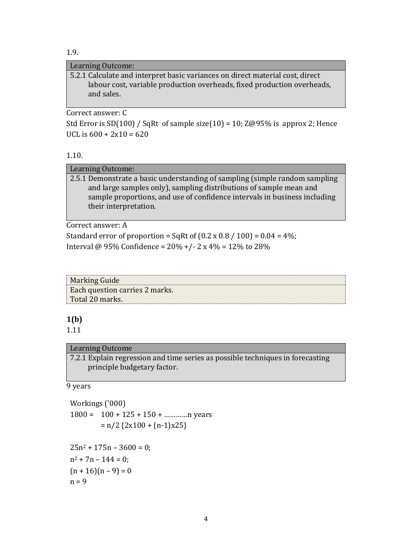1.9.

#### Learning Outcome:

5.2.1 Calculate and interpret basic variances on direct material cost, direct labour cost, variable production overheads, fixed production overheads, and sales.

Correct answer: C

Std Error is SD(100) / SqRt of sample size(10) = 10; Z@95% is approx 2; Hence UCL is  $600 + 2x10 = 620$ 

#### 1.10.

#### Learning Outcome:

2.5.1 Demonstrate a basic understanding of sampling (simple random sampling and large samples only), sampling distributions of sample mean and sample proportions, and use of confidence intervals in business including their interpretation.

Correct answer: A

Standard error of proportion = SqRt of  $(0.2 \times 0.8 / 100) = 0.04 = 4\%$ ; Interval @ 95% Confidence =  $20\% + (-2 \times 4\%) = 12\%$  to 28%

| Marking Guide                  |
|--------------------------------|
| Each question carries 2 marks. |
| Total 20 marks.                |

### **1(b)**

1.11

#### Learning Outcome

7.2.1 Explain regression and time series as possible techniques in forecasting principle budgetary factor.

#### 9 years

Workings ('000)  $1800 = 100 + 125 + 150 + \dots$  n years  $= n/2$  { $2x100 + (n-1)x25$ }  $25n^2 + 175n - 3600 = 0$ ;  $n^2 + 7n - 144 = 0$ :  $(n + 16)(n - 9) = 0$  $n = 9$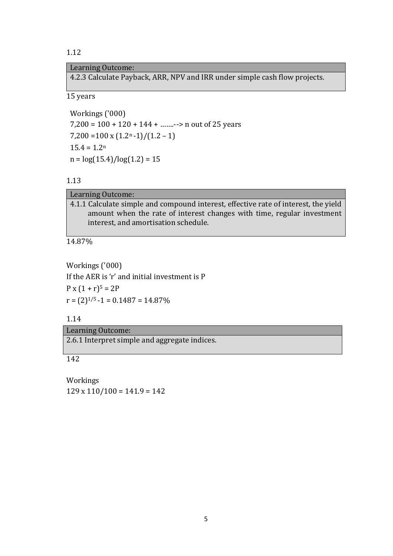#### Learning Outcome:

4.2.3 Calculate Payback, ARR, NPV and IRR under simple cash flow projects.

15 years

Workings ('000) 7,200 = 100 + 120 + 144 + …….--> n out of 25 years  $7,200 = 100 \times (1.2^{n} - 1)/(1.2 - 1)$  $15.4 = 1.2<sup>n</sup>$  $n = \log(15.4)/\log(1.2) = 15$ 

#### 1.13

14.87%

Workings ('000) If the AER is 'r' and initial investment is P  $P x (1 + r)^5 = 2P$  $r = (2)^{1/5} - 1 = 0.1487 = 14.87\%$ 

#### 1.14

Learning Outcome:

2.6.1 Interpret simple and aggregate indices.

142

Workings  $129 \times 110/100 = 141.9 = 142$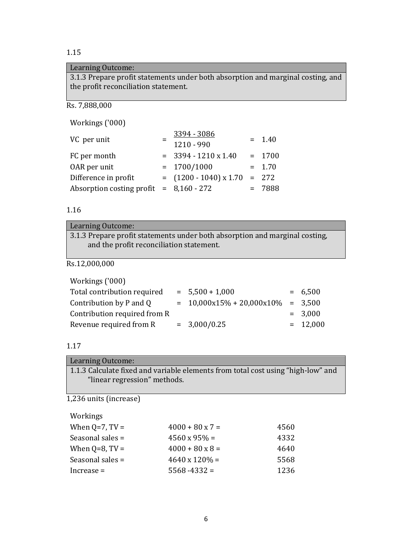### Learning Outcome:

3.1.3 Prepare profit statements under both absorption and marginal costing, and the profit reconciliation statement.

Rs. 7,888,000

Workings ('000)

| VC per unit                               | 3394 - 3086<br>1210 - 990 | $= 1.40$ |
|-------------------------------------------|---------------------------|----------|
| FC per month                              | $=$ 3394 - 1210 x 1.40    | $= 1700$ |
| OAR per unit                              | $= 1700/1000$             | $= 1.70$ |
| Difference in profit                      | $=$ (1200 - 1040) x 1.70  | $= 272$  |
| Absorption costing profit $= 8,160 - 272$ |                           | $= 7888$ |

#### 1.16

| Learning Outcome:                                                           |
|-----------------------------------------------------------------------------|
| 3.1.3 Prepare profit statements under both absorption and marginal costing, |
| and the profit reconciliation statement.                                    |
|                                                                             |

Rs.12,000,000

| Workings ('000)              |                               |            |
|------------------------------|-------------------------------|------------|
| Total contribution required  | $= 5,500 + 1,000$             | $= 6,500$  |
| Contribution by P and Q      | $= 10,000x15\% + 20,000x10\%$ | $= 3,500$  |
| Contribution required from R |                               | $= 3,000$  |
| Revenue required from R      | $= 3,000/0.25$                | $= 12,000$ |

### 1.17

| Learning Outcome:                                                                |
|----------------------------------------------------------------------------------|
| 1.1.3 Calculate fixed and variable elements from total cost using "high-low" and |
| "linear regression" methods.                                                     |
|                                                                                  |

1,236 units (increase)

| When $Q=7$ , $TV=$ | $4000 + 80 \times 7 =$ | 4560 |
|--------------------|------------------------|------|
| Seasonal sales $=$ | $4560 \times 95\% =$   | 4332 |
| When $Q=8$ , TV =  | $4000 + 80 \times 8 =$ | 4640 |
| Seasonal sales $=$ | $4640 \times 120\% =$  | 5568 |
| $Increase =$       | $5568 - 4332 =$        | 1236 |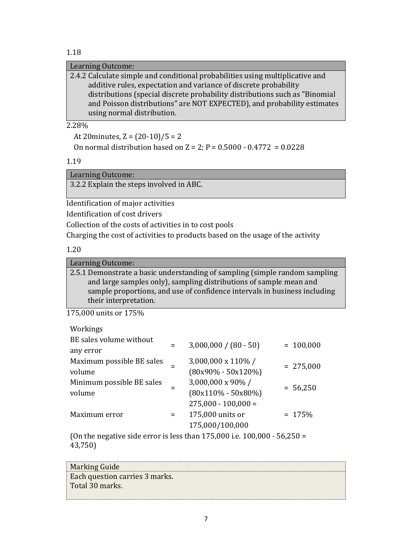Learning Outcome:

| 2.4.2 Calculate simple and conditional probabilities using multiplicative and |
|-------------------------------------------------------------------------------|
| additive rules, expectation and variance of discrete probability              |
| distributions (special discrete probability distributions such as "Binomial"  |
| and Poisson distributions" are NOT EXPECTED), and probability estimates       |
| using normal distribution.                                                    |

2.28%

At 20minutes,  $Z = (20-10)/5 = 2$ 

On normal distribution based on  $Z = 2$ ;  $P = 0.5000 - 0.4772 = 0.0228$ 

1.19

Learning Outcome:

3.2.2 Explain the steps involved in ABC.

Identification of major activities

Identification of cost drivers

Collection of the costs of activities in to cost pools

Charging the cost of activities to products based on the usage of the activity

1.20

Learning Outcome:

2.5.1 Demonstrate a basic understanding of sampling (simple random sampling and large samples only), sampling distributions of sample mean and sample proportions, and use of confidence intervals in business including their interpretation.

175,000 units or 175%

| Workings                                                                   |     |                         |             |  |
|----------------------------------------------------------------------------|-----|-------------------------|-------------|--|
| BE sales volume without                                                    | $=$ | $3,000,000 / (80 - 50)$ | $= 100,000$ |  |
| any error                                                                  |     |                         |             |  |
| Maximum possible BE sales                                                  |     | 3,000,000 x 110%/       | $= 275,000$ |  |
| volume                                                                     |     | $(80x90\% - 50x120\%)$  |             |  |
| Minimum possible BE sales                                                  |     | 3,000,000 x 90%/        |             |  |
| volume                                                                     |     | $(80x110\% - 50x80\%)$  | $= 56,250$  |  |
|                                                                            |     | $275,000 - 100,000 =$   |             |  |
| Maximum error                                                              | $=$ | 175,000 units or        | $= 175%$    |  |
|                                                                            |     | 175,000/100,000         |             |  |
| $(0n$ the negative side error is less than 175,000 i.e. 100,000 - 56,250 - |     |                         |             |  |

(On the negative side error is less than  $175,000$  i.e.  $100,000$  -  $56,250 =$ 43,750)

| Marking Guide                  |  |
|--------------------------------|--|
| Each question carries 3 marks. |  |
| Total 30 marks.                |  |
|                                |  |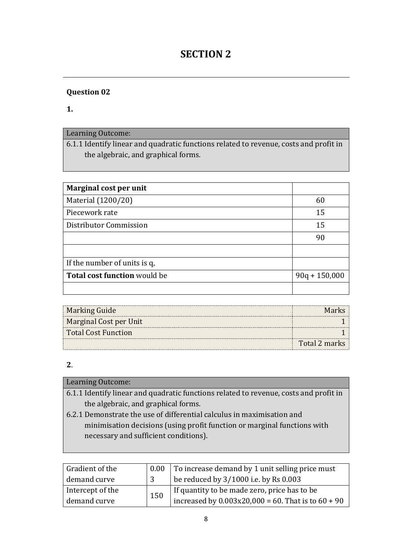## **SECTION 2**

### **Question 02**

**1.**

### Learning Outcome:

6.1.1 Identify linear and quadratic functions related to revenue, costs and profit in the algebraic, and graphical forms.

| Marginal cost per unit              |                 |
|-------------------------------------|-----------------|
| Material (1200/20)                  | 60              |
| Piecework rate                      | 15              |
| Distributor Commission              | 15              |
|                                     | 90              |
|                                     |                 |
| If the number of units is q.        |                 |
| <b>Total cost function would be</b> | $90q + 150,000$ |
|                                     |                 |

| Marking Guide          | Marks         |
|------------------------|---------------|
| Marginal Cost per Unit |               |
| Total Cost Function    |               |
|                        | Total 2 marks |

### **2**.

| Learning Outcome:                                                                     |
|---------------------------------------------------------------------------------------|
| 6.1.1 Identify linear and quadratic functions related to revenue, costs and profit in |
| the algebraic, and graphical forms.                                                   |
| 6.2.1 Demonstrate the use of differential calculus in maximisation and                |
| minimisation decisions (using profit function or marginal functions with              |

necessary and sufficient conditions).

| Gradient of the  | $0.00\,$ | To increase demand by 1 unit selling price must         |
|------------------|----------|---------------------------------------------------------|
| demand curve     |          | be reduced by 3/1000 i.e. by Rs 0.003                   |
| Intercept of the | 150      | If quantity to be made zero, price has to be            |
| demand curve     |          | increased by $0.003x20,000 = 60$ . That is to $60 + 90$ |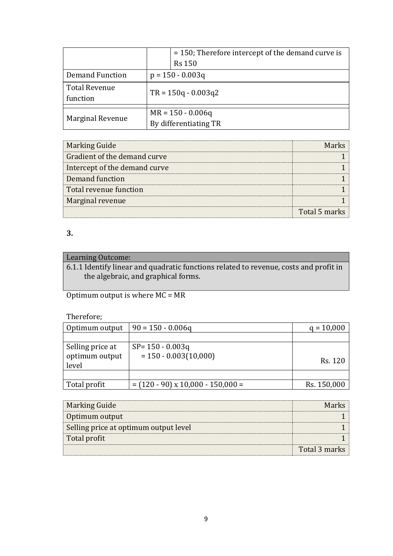|                                  |                       | $=$ 150; Therefore intercept of the demand curve is |  |  |  |  |
|----------------------------------|-----------------------|-----------------------------------------------------|--|--|--|--|
|                                  |                       | <b>Rs 150</b>                                       |  |  |  |  |
| <b>Demand Function</b>           |                       | $p = 150 - 0.003q$                                  |  |  |  |  |
| <b>Total Revenue</b><br>function | $TR = 150q - 0.003q2$ |                                                     |  |  |  |  |
|                                  |                       | $MR = 150 - 0.006q$                                 |  |  |  |  |
| <b>Marginal Revenue</b>          | By differentiating TR |                                                     |  |  |  |  |

| <b>Marking Guide</b>          |               |
|-------------------------------|---------------|
| Gradient of the demand curve  |               |
| Intercept of the demand curve |               |
| Demand function               |               |
| Total revenue function        |               |
| Marginal revenue              |               |
|                               | Total 5 marks |

## Learning Outcome:

6.1.1 Identify linear and quadratic functions related to revenue, costs and profit in the algebraic, and graphical forms.

Optimum output is where MC = MR

### Therefore;

| Optimum output                              | $90 = 150 - 0.006q$                            | $q = 10,000$ |
|---------------------------------------------|------------------------------------------------|--------------|
|                                             |                                                |              |
| Selling price at<br>optimum output<br>level | $SP = 150 - 0.003q$<br>$= 150 - 0.003(10,000)$ | Rs. 120      |
|                                             |                                                |              |
| Total profit                                | $=$ (120 - 90) x 10,000 - 150,000 =            | Rs. 150,000  |

| <b>Marking Guide</b>                  | <b>Marks</b>  |
|---------------------------------------|---------------|
| Optimum output                        |               |
| Selling price at optimum output level |               |
| Total profit                          |               |
|                                       | Total 3 marks |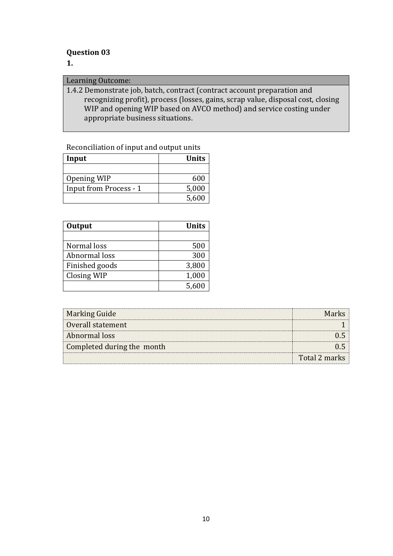### **Question 03**

### **1.**

#### Learning Outcome:

1.4.2 Demonstrate job, batch, contract (contract account preparation and recognizing profit), process (losses, gains, scrap value, disposal cost, closing WIP and opening WIP based on AVCO method) and service costing under appropriate business situations.

### Reconciliation of input and output units

| Input                  | <b>Units</b> |
|------------------------|--------------|
|                        |              |
| Opening WIP            | 600          |
| Input from Process - 1 | 5,000        |
|                        | 5,600        |

| Output         | <b>Units</b> |
|----------------|--------------|
|                |              |
| Normal loss    | 500          |
| Abnormal loss  | 300          |
| Finished goods | 3,800        |
| Closing WIP    | 1,000        |
|                | 5,600        |

| <b>Marking Guide</b>       |               |
|----------------------------|---------------|
| Overall statement          |               |
| Abnormal loss              |               |
| Completed during the month |               |
|                            | Total 2 marks |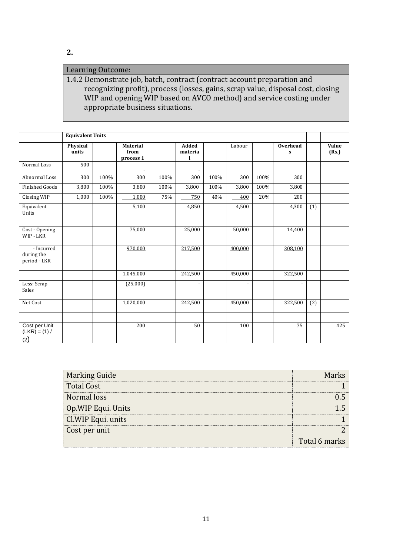### Learning Outcome:

1.4.2 Demonstrate job, batch, contract (contract account preparation and recognizing profit), process (losses, gains, scrap value, disposal cost, closing WIP and opening WIP based on AVCO method) and service costing under appropriate business situations.

|                                          | <b>Equivalent Units</b>  |      |                                      |      |                       |      |         |      |                                |     |                |
|------------------------------------------|--------------------------|------|--------------------------------------|------|-----------------------|------|---------|------|--------------------------------|-----|----------------|
|                                          | <b>Physical</b><br>units |      | <b>Material</b><br>from<br>process 1 |      | Added<br>materia<br>l |      | Labour  |      | <b>Overhead</b><br>$\mathbf s$ |     | Value<br>(Rs.) |
| Normal Loss                              | 500                      |      |                                      |      |                       |      |         |      |                                |     |                |
| Abnormal Loss                            | 300                      | 100% | 300                                  | 100% | 300                   | 100% | 300     | 100% | 300                            |     |                |
| <b>Finished Goods</b>                    | 3,800                    | 100% | 3,800                                | 100% | 3,800                 | 100% | 3,800   | 100% | 3,800                          |     |                |
| Closing WIP                              | 1,000                    | 100% | 1,000                                | 75%  | 750                   | 40%  | 400     | 20%  | 200                            |     |                |
| Equivalent<br>Units                      |                          |      | 5,100                                |      | 4,850                 |      | 4,500   |      | 4,300                          | (1) |                |
|                                          |                          |      |                                      |      |                       |      |         |      |                                |     |                |
| Cost - Opening<br>WIP - LKR              |                          |      | 75,000                               |      | 25,000                |      | 50,000  |      | 14,400                         |     |                |
| - Incurred<br>during the<br>period - LKR |                          |      | 970,000                              |      | 217,500               |      | 400,000 |      | 308,100                        |     |                |
|                                          |                          |      | 1,045,000                            |      | 242,500               |      | 450,000 |      | 322,500                        |     |                |
| Less: Scrap<br>Sales                     |                          |      | (25,000)                             |      |                       |      |         |      |                                |     |                |
| Net Cost                                 |                          |      | 1,020,000                            |      | 242,500               |      | 450,000 |      | 322,500                        | (2) |                |
|                                          |                          |      |                                      |      |                       |      |         |      |                                |     |                |
| Cost per Unit<br>$(LKR) = (1) /$<br>(2)  |                          |      | 200                                  |      | 50                    |      | 100     |      | 75                             |     | 425            |

| Marking Guide       |               |
|---------------------|---------------|
| <b>Total Cost</b>   |               |
| Normal loss         |               |
| Op. WIP Equi. Units |               |
| Cl. WIP Equi. units |               |
| Cost per unit       |               |
|                     | Total 6 marks |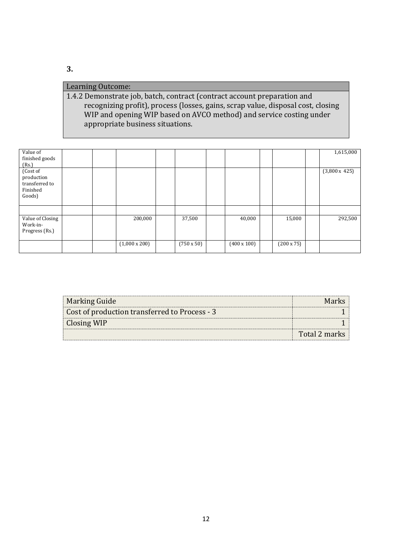### Learning Outcome:

1.4.2 Demonstrate job, batch, contract (contract account preparation and recognizing profit), process (losses, gains, scrap value, disposal cost, closing WIP and opening WIP based on AVCO method) and service costing under appropriate business situations.

| Value of<br>finished goods<br>(Rs.)                            |  |                      |                   |                    |                   | 1,615,000            |
|----------------------------------------------------------------|--|----------------------|-------------------|--------------------|-------------------|----------------------|
| (Cost of<br>production<br>transferred to<br>Finished<br>Goods) |  |                      |                   |                    |                   | $(3,800 \times 425)$ |
|                                                                |  |                      |                   |                    |                   |                      |
| Value of Closing<br>Work-in-<br>Progress (Rs.)                 |  | 200,000              | 37,500            | 40,000             | 15,000            | 292,500              |
|                                                                |  | $(1,000 \times 200)$ | $(750 \times 50)$ | $(400 \times 100)$ | $(200 \times 75)$ |                      |

| <b>Marking Guide</b>                          | Marks         |
|-----------------------------------------------|---------------|
| Cost of production transferred to Process - 3 |               |
| <b>Closing WIP</b>                            |               |
|                                               | Total 2 marks |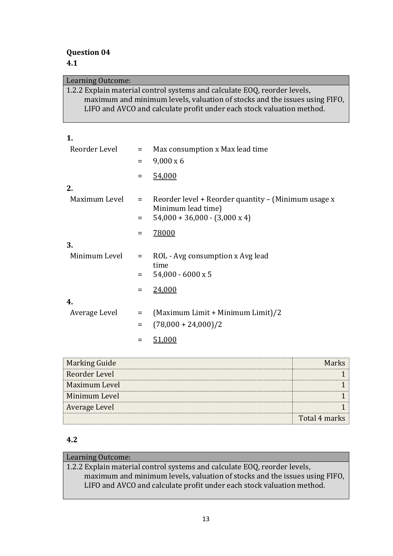| Learning Outcome: |          |                                                                                                                                                                                                                                  |
|-------------------|----------|----------------------------------------------------------------------------------------------------------------------------------------------------------------------------------------------------------------------------------|
|                   |          | 1.2.2 Explain material control systems and calculate EOQ, reorder levels,<br>maximum and minimum levels, valuation of stocks and the issues using FIFO,<br>LIFO and AVCO and calculate profit under each stock valuation method. |
| 1.                |          |                                                                                                                                                                                                                                  |
| Reorder Level     | $=$      | Max consumption x Max lead time                                                                                                                                                                                                  |
|                   | $=$      | $9,000 \times 6$                                                                                                                                                                                                                 |
|                   | Ξ        | 54,000                                                                                                                                                                                                                           |
| 2.                |          |                                                                                                                                                                                                                                  |
| Maximum Level     | $=$      | Reorder level + Reorder quantity - (Minimum usage x<br>Minimum lead time)                                                                                                                                                        |
|                   | $=$      | $54,000 + 36,000 - (3,000 \times 4)$                                                                                                                                                                                             |
|                   | $=$      | 78000                                                                                                                                                                                                                            |
| 3.                |          |                                                                                                                                                                                                                                  |
| Minimum Level     | $\equiv$ | ROL - Avg consumption x Avg lead                                                                                                                                                                                                 |
|                   | $=$      | time<br>54,000 - 6000 x 5                                                                                                                                                                                                        |
|                   | Ξ        | 24,000                                                                                                                                                                                                                           |
| 4.                |          |                                                                                                                                                                                                                                  |
| Average Level     | $=$      | (Maximum Limit + Minimum Limit)/2                                                                                                                                                                                                |
|                   | $=$      | $(78,000 + 24,000)/2$                                                                                                                                                                                                            |
|                   | $=$      | 51,000                                                                                                                                                                                                                           |
|                   |          |                                                                                                                                                                                                                                  |

| <b>Marking Guide</b> |               |
|----------------------|---------------|
| Reorder Level        |               |
| Maximum Level        |               |
| Minimum Level        |               |
| Average Level        |               |
|                      | Total 4 marks |

### **4.2**

### Learning Outcome: 1.2.2 Explain material control systems and calculate EOQ, reorder levels, maximum and minimum levels, valuation of stocks and the issues using FIFO, LIFO and AVCO and calculate profit under each stock valuation method.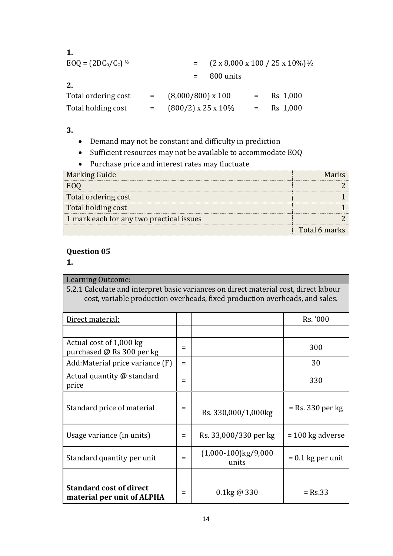| $EOQ = (2DC0/Cc)$ <sup>1/2</sup> | $=$ $(2 \times 8,000 \times 100 / 25 \times 10\%) \frac{1}{2}$ |          |
|----------------------------------|----------------------------------------------------------------|----------|
|                                  | 800 units                                                      |          |
| 2.                               |                                                                |          |
| Total ordering cost              | $(8,000/800)$ x 100                                            | Rs 1,000 |

Total holding cost =  $(800/2) \times 25 \times 10\%$  = Rs 1,000

- **3.**
- Demand may not be constant and difficulty in prediction
- Sufficient resources may not be available to accommodate EOQ
- Purchase price and interest rates may fluctuate

| <b>Marking Guide</b>                     | Martre        |
|------------------------------------------|---------------|
|                                          |               |
| Total ordering cost                      |               |
| Total holding cost                       |               |
| 1 mark each for any two practical issues |               |
|                                          | Total 6 marks |

### **Question 05**

**1.**

| Learning Outcome:                                                                    |     |                                 |                     |  |  |
|--------------------------------------------------------------------------------------|-----|---------------------------------|---------------------|--|--|
| 5.2.1 Calculate and interpret basic variances on direct material cost, direct labour |     |                                 |                     |  |  |
| cost, variable production overheads, fixed production overheads, and sales.          |     |                                 |                     |  |  |
| Direct material:                                                                     |     |                                 | Rs. '000            |  |  |
|                                                                                      |     |                                 |                     |  |  |
| Actual cost of 1,000 kg<br>purchased @ Rs 300 per kg                                 | =   |                                 | 300                 |  |  |
| Add:Material price variance (F)                                                      | $=$ |                                 | 30                  |  |  |
| Actual quantity @ standard<br>price                                                  | $=$ |                                 | 330                 |  |  |
| Standard price of material                                                           | =   | Rs. 330,000/1,000kg             | = Rs. 330 per kg    |  |  |
| Usage variance (in units)                                                            | $=$ | Rs. 33,000/330 per kg           | $= 100$ kg adverse  |  |  |
| Standard quantity per unit                                                           | $=$ | $(1,000-100)$ kg/9,000<br>units | $= 0.1$ kg per unit |  |  |
|                                                                                      |     |                                 |                     |  |  |
| <b>Standard cost of direct</b><br>material per unit of ALPHA                         | $=$ | $0.1$ kg @ 330                  | $=$ Rs.33           |  |  |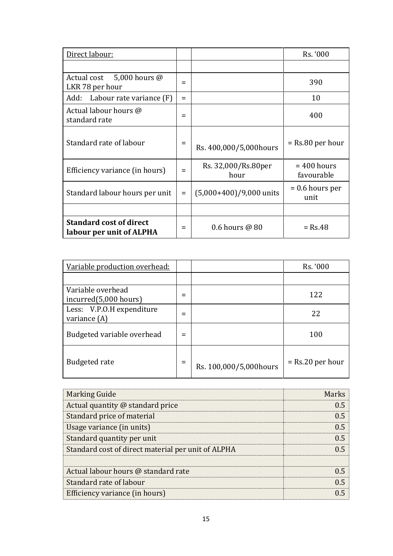| Direct labour:                                             |     |                             | Rs. '000                    |
|------------------------------------------------------------|-----|-----------------------------|-----------------------------|
|                                                            |     |                             |                             |
| Actual cost 5,000 hours @<br>LKR 78 per hour               | $=$ |                             | 390                         |
| Add: Labour rate variance (F)                              | $=$ |                             | 10                          |
| Actual labour hours @<br>standard rate                     |     |                             | 400                         |
| Standard rate of labour                                    | $=$ | Rs. 400,000/5,000hours      | $=$ Rs.80 per hour          |
| Efficiency variance (in hours)                             | Ξ   | Rs. 32,000/Rs.80per<br>hour | $= 400$ hours<br>favourable |
| Standard labour hours per unit                             | $=$ | $(5,000+400)/9,000$ units   | $= 0.6$ hours per<br>unit   |
|                                                            |     |                             |                             |
| <b>Standard cost of direct</b><br>labour per unit of ALPHA | =   | $0.6$ hours @ 80            | $=$ Rs.48                   |

| Variable production overhead:               |     |                        | Rs. '000           |
|---------------------------------------------|-----|------------------------|--------------------|
|                                             |     |                        |                    |
| Variable overhead<br>incurred(5,000 hours)  |     |                        | 122                |
| Less: V.P.O.H expenditure<br>variance $(A)$ |     |                        | 22                 |
| Budgeted variable overhead                  |     |                        | 100                |
| <b>Budgeted rate</b>                        | $=$ | Rs. 100,000/5,000hours | $=$ Rs.20 per hour |

| <b>Marking Guide</b>                               | Marks |
|----------------------------------------------------|-------|
| Actual quantity @ standard price                   | 05    |
| Standard price of material                         | 0.5   |
| Usage variance (in units)                          | በ 5   |
| Standard quantity per unit                         | በ 5   |
| Standard cost of direct material per unit of ALPHA | በ 5   |
|                                                    |       |
| Actual labour hours @ standard rate                | () 5  |
| Standard rate of labour                            | በ 5   |
| Efficiency variance (in hours)                     |       |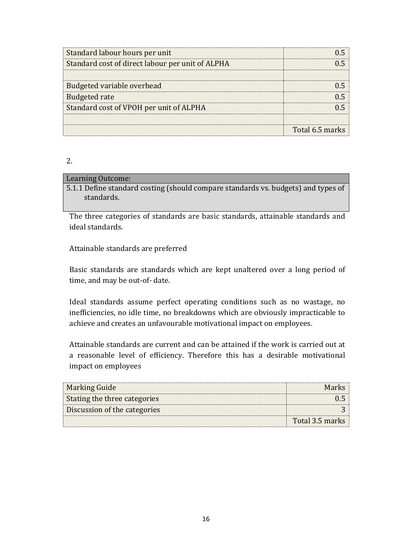| Standard labour hours per unit                   |                 |
|--------------------------------------------------|-----------------|
| Standard cost of direct labour per unit of ALPHA |                 |
|                                                  |                 |
| Budgeted variable overhead                       |                 |
| <b>Budgeted rate</b>                             |                 |
| Standard cost of VPOH per unit of ALPHA          |                 |
|                                                  |                 |
|                                                  | Total 6.5 marks |

<sup>2.</sup>

#### Learning Outcome:

5.1.1 Define standard costing (should compare standards vs. budgets) and types of standards.

The three categories of standards are basic standards, attainable standards and ideal standards.

Attainable standards are preferred

Basic standards are standards which are kept unaltered over a long period of time, and may be out-of- date.

Ideal standards assume perfect operating conditions such as no wastage, no inefficiencies, no idle time, no breakdowns which are obviously impracticable to achieve and creates an unfavourable motivational impact on employees.

Attainable standards are current and can be attained if the work is carried out at a reasonable level of efficiency. Therefore this has a desirable motivational impact on employees

| Marking Guide                | <b>Marks</b>    |
|------------------------------|-----------------|
| Stating the three categories |                 |
| Discussion of the categories |                 |
|                              | Total 3.5 marks |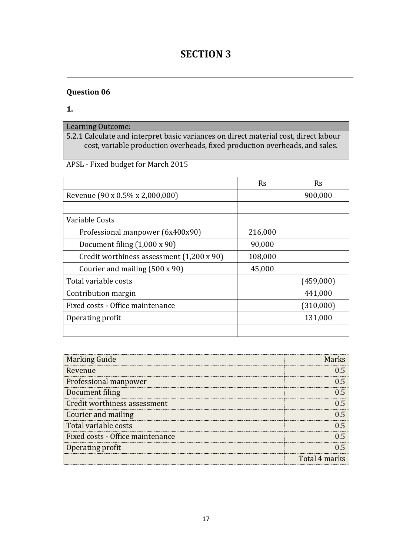## **SECTION 3**

### **Question 06**

**1.** 

## Learning Outcome:

5.2.1 Calculate and interpret basic variances on direct material cost, direct labour cost, variable production overheads, fixed production overheads, and sales.

### APSL - Fixed budget for March 2015

|                                           | Rs      | Rs        |
|-------------------------------------------|---------|-----------|
| Revenue (90 x 0.5% x 2,000,000)           |         | 900,000   |
|                                           |         |           |
| Variable Costs                            |         |           |
| Professional manpower (6x400x90)          | 216,000 |           |
| Document filing $(1,000 \times 90)$       | 90,000  |           |
| Credit worthiness assessment (1,200 x 90) | 108,000 |           |
| Courier and mailing (500 x 90)            | 45,000  |           |
| Total variable costs                      |         | (459,000) |
| Contribution margin                       |         | 441,000   |
| Fixed costs - Office maintenance          |         | (310,000) |
| Operating profit                          |         | 131,000   |
|                                           |         |           |

| <b>Marking Guide</b>             | Marke         |
|----------------------------------|---------------|
| Revenue                          |               |
| Professional manpower            |               |
| Document filing                  |               |
| Credit worthiness assessment     |               |
| Courier and mailing              |               |
| Total variable costs             |               |
| Fixed costs - Office maintenance |               |
| Operating profit                 |               |
|                                  | Total 4 marks |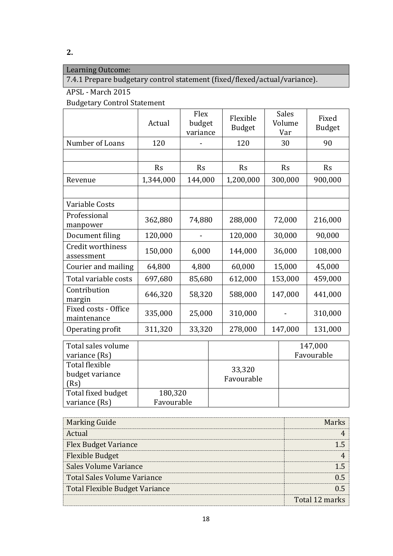### Learning Outcome:

7.4.1 Prepare budgetary control statement (fixed/flexed/actual/variance).

### APSL - March 2015

Budgetary Control Statement

|                                     | Actual    | Flex<br>budget<br>variance | Flexible<br><b>Budget</b> | <b>Sales</b><br>Volume<br>Var | Fixed<br><b>Budget</b> |
|-------------------------------------|-----------|----------------------------|---------------------------|-------------------------------|------------------------|
| Number of Loans                     | 120       |                            | 120                       | 30                            | 90                     |
|                                     |           |                            |                           |                               |                        |
|                                     | <b>Rs</b> | <b>Rs</b>                  | Rs                        | Rs                            | <b>Rs</b>              |
| Revenue                             | 1,344,000 | 144,000                    | 1,200,000                 | 300,000                       | 900,000                |
|                                     |           |                            |                           |                               |                        |
| Variable Costs                      |           |                            |                           |                               |                        |
| Professional<br>manpower            | 362,880   | 74,880                     | 288,000                   | 72,000                        | 216,000                |
| Document filing                     | 120,000   |                            | 120,000                   | 30,000                        | 90,000                 |
| Credit worthiness<br>assessment     | 150,000   | 6,000                      | 144,000                   | 36,000                        | 108,000                |
| Courier and mailing                 | 64,800    | 4,800                      | 60,000                    | 15,000                        | 45,000                 |
| Total variable costs                | 697,680   | 85,680                     | 612,000                   | 153,000                       | 459,000                |
| Contribution<br>margin              | 646,320   | 58,320                     | 588,000                   | 147,000                       | 441,000                |
| Fixed costs - Office<br>maintenance | 335,000   | 25,000                     | 310,000                   |                               | 310,000                |
| Operating profit                    | 311,320   | 33,320                     | 278,000                   | 147,000                       | 131,000                |

| Total sales volume                        |            |                      | 147,000    |
|-------------------------------------------|------------|----------------------|------------|
| variance (Rs)                             |            |                      | Favourable |
| Total flexible<br>budget variance<br>(Rs) |            | 33,320<br>Favourable |            |
| Total fixed budget                        | 180,320    |                      |            |
| variance (Rs)                             | Favourable |                      |            |

| <b>Marking Guide</b>                  |                |
|---------------------------------------|----------------|
| Actual                                |                |
| <b>Flex Budget Variance</b>           |                |
| <b>Flexible Budget</b>                |                |
| Sales Volume Variance                 |                |
| Total Sales Volume Variance           |                |
| <b>Total Flexible Budget Variance</b> |                |
|                                       | Total 12 marks |